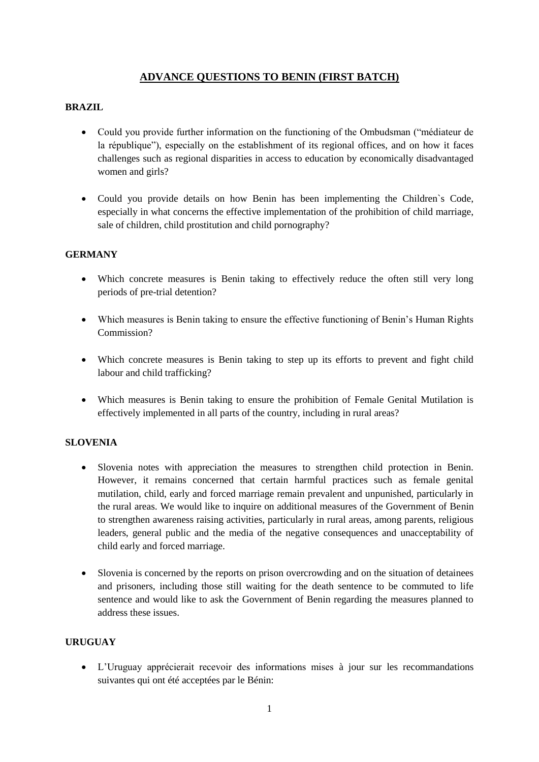# **ADVANCE QUESTIONS TO BENIN (FIRST BATCH)**

## **BRAZIL**

- Could you provide further information on the functioning of the Ombudsman ("médiateur de la république"), especially on the establishment of its regional offices, and on how it faces challenges such as regional disparities in access to education by economically disadvantaged women and girls?
- Could you provide details on how Benin has been implementing the Children`s Code, especially in what concerns the effective implementation of the prohibition of child marriage, sale of children, child prostitution and child pornography?

### **GERMANY**

- Which concrete measures is Benin taking to effectively reduce the often still very long periods of pre-trial detention?
- Which measures is Benin taking to ensure the effective functioning of Benin's Human Rights Commission?
- Which concrete measures is Benin taking to step up its efforts to prevent and fight child labour and child trafficking?
- Which measures is Benin taking to ensure the prohibition of Female Genital Mutilation is effectively implemented in all parts of the country, including in rural areas?

### **SLOVENIA**

- Slovenia notes with appreciation the measures to strengthen child protection in Benin. However, it remains concerned that certain harmful practices such as female genital mutilation, child, early and forced marriage remain prevalent and unpunished, particularly in the rural areas. We would like to inquire on additional measures of the Government of Benin to strengthen awareness raising activities, particularly in rural areas, among parents, religious leaders, general public and the media of the negative consequences and unacceptability of child early and forced marriage.
- Slovenia is concerned by the reports on prison overcrowding and on the situation of detainees and prisoners, including those still waiting for the death sentence to be commuted to life sentence and would like to ask the Government of Benin regarding the measures planned to address these issues.

## **URUGUAY**

• L'Uruguay apprécierait recevoir des informations mises à jour sur les recommandations suivantes qui ont été acceptées par le Bénin: